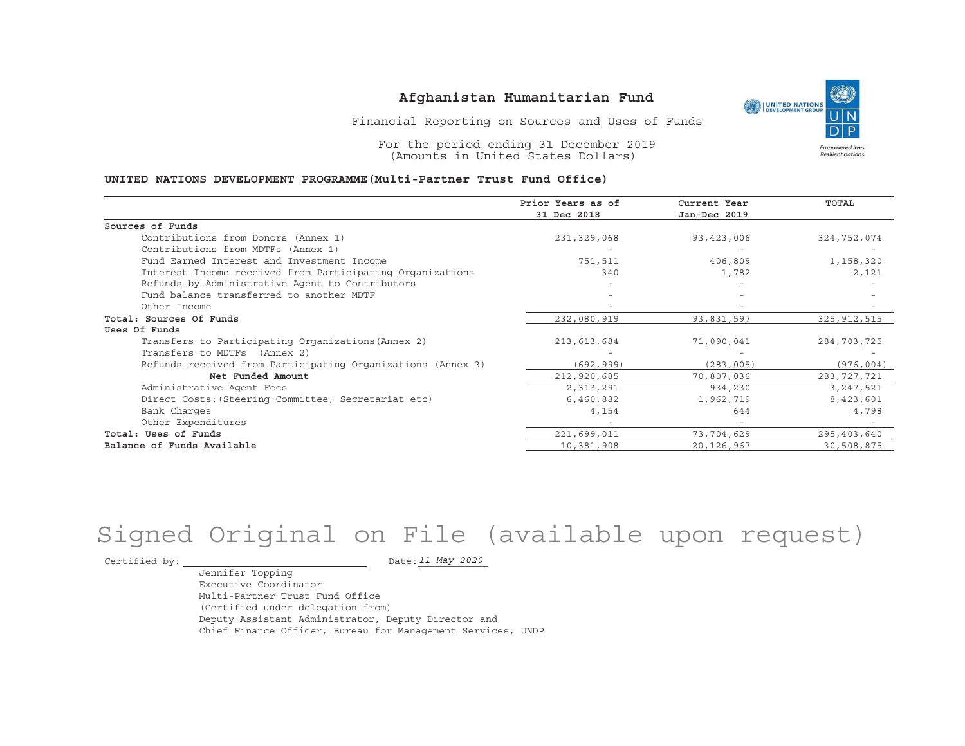UNITED NATIONS **Empowered lives** Resilient nations.

Financial Reporting on Sources and Uses of Funds

For the period ending 31 December 2019 (Amounts in United States Dollars)

#### **UNITED NATIONS DEVELOPMENT PROGRAMME(Multi-Partner Trust Fund Office)**

|                                                             | Prior Years as of | Current Year | <b>TOTAL</b>  |
|-------------------------------------------------------------|-------------------|--------------|---------------|
|                                                             | 31 Dec 2018       | Jan-Dec 2019 |               |
| Sources of Funds                                            |                   |              |               |
| Contributions from Donors (Annex 1)                         | 231,329,068       | 93,423,006   | 324,752,074   |
| Contributions from MDTFs (Annex 1)                          |                   |              |               |
| Fund Earned Interest and Investment Income                  | 751,511           | 406,809      | 1,158,320     |
| Interest Income received from Participating Organizations   | 340               | 1,782        | 2,121         |
| Refunds by Administrative Agent to Contributors             |                   |              |               |
| Fund balance transferred to another MDTF                    |                   |              |               |
| Other Income                                                |                   |              |               |
| Total: Sources Of Funds                                     | 232,080,919       | 93,831,597   | 325, 912, 515 |
| Uses Of Funds                                               |                   |              |               |
| Transfers to Participating Organizations (Annex 2)          | 213, 613, 684     | 71,090,041   | 284,703,725   |
| Transfers to MDTFs (Annex 2)                                |                   |              |               |
| Refunds received from Participating Organizations (Annex 3) | (692, 999)        | (283, 005)   | (976, 004)    |
| Net Funded Amount                                           | 212,920,685       | 70,807,036   | 283, 727, 721 |
| Administrative Agent Fees                                   | 2,313,291         | 934,230      | 3, 247, 521   |
| Direct Costs: (Steering Committee, Secretariat etc)         | 6,460,882         | 1,962,719    | 8,423,601     |
| Bank Charges                                                | 4,154             | 644          | 4,798         |
| Other Expenditures                                          |                   |              |               |
| Total: Uses of Funds                                        | 221,699,011       | 73,704,629   | 295,403,640   |
| Balance of Funds Available                                  | 10,381,908        | 20,126,967   | 30,508,875    |

# Signed Original on File (available upon request)

Certified by:  $\overline{\phantom{a}}$ 

*11 May 2020*

 Jennifer Topping Executive Coordinator Multi-Partner Trust Fund Office (Certified under delegation from) Deputy Assistant Administrator, Deputy Director andChief Finance Officer, Bureau for Management Services, UNDP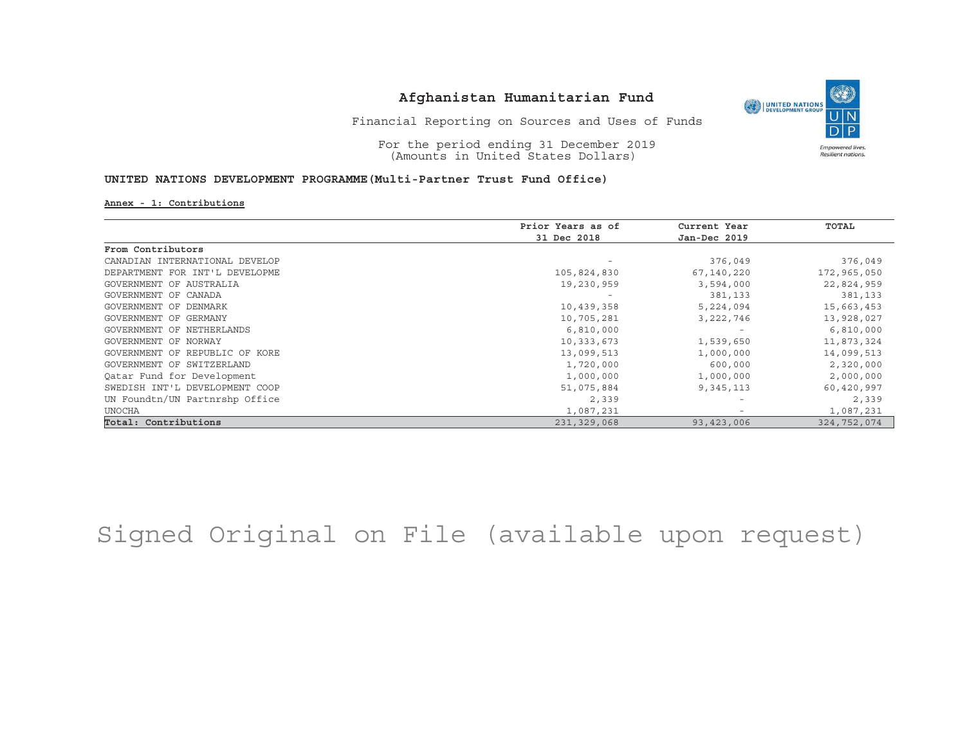

Financial Reporting on Sources and Uses of Funds

For the period ending 31 December 2019 (Amounts in United States Dollars)

### **UNITED NATIONS DEVELOPMENT PROGRAMME(Multi-Partner Trust Fund Office)**

#### **Annex - 1: Contributions**

|                                | Prior Years as of | Current Year             | TOTAL       |
|--------------------------------|-------------------|--------------------------|-------------|
|                                | 31 Dec 2018       | Jan-Dec 2019             |             |
| From Contributors              |                   |                          |             |
| CANADIAN INTERNATIONAL DEVELOP |                   | 376,049                  | 376,049     |
| DEPARTMENT FOR INT'L DEVELOPME | 105,824,830       | 67,140,220               | 172,965,050 |
| GOVERNMENT OF AUSTRALIA        | 19,230,959        | 3,594,000                | 22,824,959  |
| GOVERNMENT OF CANADA           |                   | 381,133                  | 381,133     |
| GOVERNMENT OF DENMARK          | 10,439,358        | 5,224,094                | 15,663,453  |
| GOVERNMENT OF GERMANY          | 10,705,281        | 3, 222, 746              | 13,928,027  |
| GOVERNMENT OF NETHERLANDS      | 6,810,000         |                          | 6,810,000   |
| GOVERNMENT OF NORWAY           | 10,333,673        | 1,539,650                | 11,873,324  |
| GOVERNMENT OF REPUBLIC OF KORE | 13,099,513        | 1,000,000                | 14,099,513  |
| GOVERNMENT OF SWITZERLAND      | 1,720,000         | 600,000                  | 2,320,000   |
| Oatar Fund for Development     | 1,000,000         | 1,000,000                | 2,000,000   |
| SWEDISH INT'L DEVELOPMENT COOP | 51,075,884        | 9,345,113                | 60,420,997  |
| UN Foundtn/UN Partnrshp Office | 2,339             | $\overline{\phantom{0}}$ | 2,339       |
| <b>UNOCHA</b>                  | 1,087,231         |                          | 1,087,231   |
| Total: Contributions           | 231,329,068       | 93,423,006               | 324,752,074 |

## Signed Original on File (available upon request)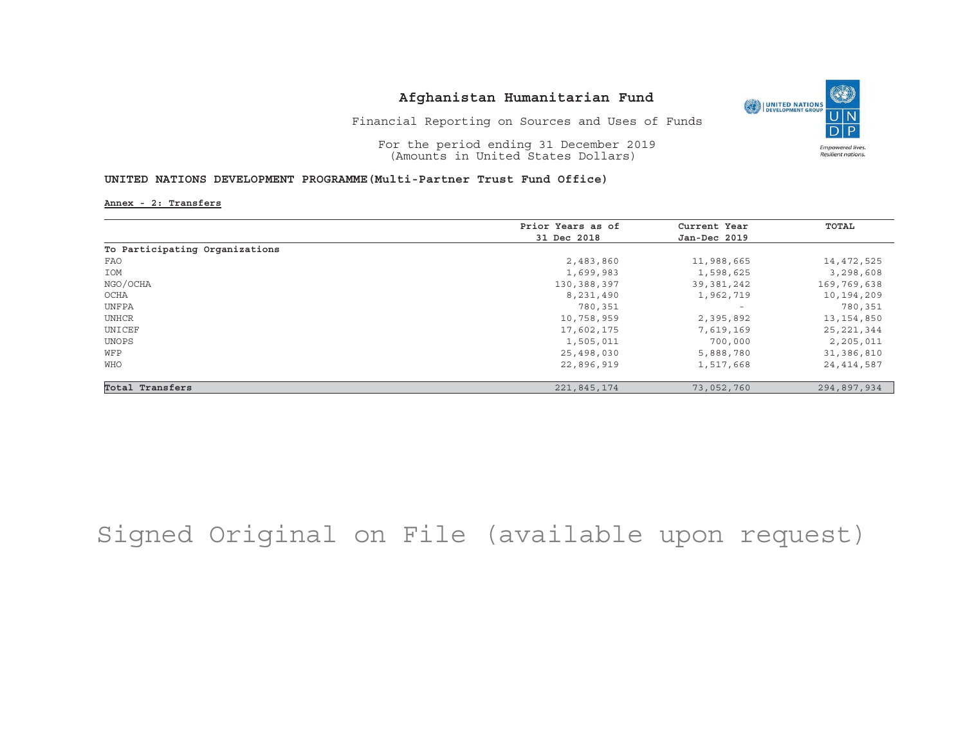

Financial Reporting on Sources and Uses of Funds

For the period ending 31 December 2019 (Amounts in United States Dollars)

### **UNITED NATIONS DEVELOPMENT PROGRAMME(Multi-Partner Trust Fund Office)**

**Annex - 2: Transfers**

|                                | Prior Years as of | Current Year             | TOTAL        |
|--------------------------------|-------------------|--------------------------|--------------|
|                                | 31 Dec 2018       | Jan-Dec 2019             |              |
| To Participating Organizations |                   |                          |              |
| FAO                            | 2,483,860         | 11,988,665               | 14,472,525   |
| IOM                            | 1,699,983         | 1,598,625                | 3,298,608    |
| NGO/OCHA                       | 130,388,397       | 39,381,242               | 169,769,638  |
| OCHA                           | 8,231,490         | 1,962,719                | 10,194,209   |
| UNFPA                          | 780,351           | $\overline{\phantom{a}}$ | 780,351      |
| UNHCR                          | 10,758,959        | 2,395,892                | 13, 154, 850 |
| UNICEF                         | 17,602,175        | 7,619,169                | 25, 221, 344 |
| UNOPS                          | 1,505,011         | 700,000                  | 2,205,011    |
| WFP                            | 25,498,030        | 5,888,780                | 31,386,810   |
| WHO                            | 22,896,919        | 1,517,668                | 24, 414, 587 |
| Total Transfers                | 221,845,174       | 73,052,760               | 294,897,934  |

## Signed Original on File (available upon request)